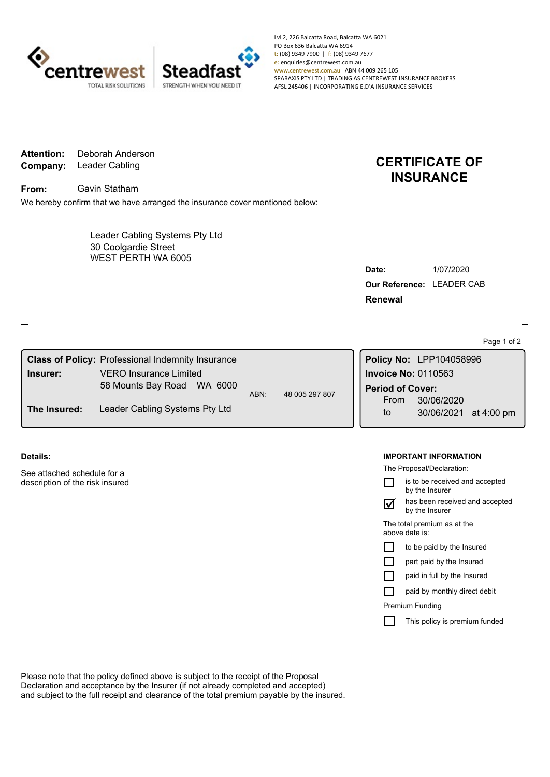

Lvl 2, 226 Balcatta Road, Balcatta WA 6021 PO Box 636 Balcatta WA 6914 t: (08) 9349 7900 | f: (08) 9349 7677 e: enquiries@centrewest.com.au www.centrewest.com.au ABN 44 009 265 105 SPARAXIS PTY LTD | TRADING AS CENTREWEST INSURANCE BROKERS AFSL 245406 | INCORPORATING E.D'A INSURANCE SERVICES

**Company:** Leader Cabling **Attention:** Deborah Anderson

**From:** Gavin Statham

We hereby confirm that we have arranged the insurance cover mentioned below:

WEST PERTH WA 6005 Leader Cabling Systems Pty Ltd 30 Coolgardie Street

# **CERTIFICATE OF INSURANCE**

| Date:                     | 1/07/2020 |
|---------------------------|-----------|
| Our Reference: LEADER CAB |           |
| <b>Renewal</b>            |           |

Page 1 of 2

| <b>Class of Policy: Professional Indemnity Insurance</b> |                                |                        |  | Policy No: LPP104058996 |                                        |
|----------------------------------------------------------|--------------------------------|------------------------|--|-------------------------|----------------------------------------|
| Insurer:                                                 | <b>VERO Insurance Limited</b>  | 48 005 297 807<br>ABN: |  |                         | <b>Invoice No: 0110563</b>             |
|                                                          | 58 Mounts Bay Road WA 6000     |                        |  | <b>Period of Cover:</b> |                                        |
| The Insured:                                             | Leader Cabling Systems Pty Ltd |                        |  | From<br>to              | 30/06/2020<br>at 4:00 pm<br>30/06/2021 |

#### **Details:**

See attached schedule for a description of the risk insured

#### **IMPORTANT INFORMATION**

The Proposal/Declaration:

|                                               | is to be received and accepted<br>by the Insurer |  |
|-----------------------------------------------|--------------------------------------------------|--|
|                                               | has been received and accepted<br>by the Insurer |  |
| The total premium as at the<br>above date is: |                                                  |  |
|                                               | to be paid by the Insured                        |  |
|                                               | part paid by the Insured                         |  |
|                                               | paid in full by the Insured                      |  |
|                                               | paid by monthly direct debit                     |  |
| <b>Premium Funding</b>                        |                                                  |  |
|                                               | This policy is premium funded                    |  |
|                                               |                                                  |  |

Please note that the policy defined above is subject to the receipt of the Proposal Declaration and acceptance by the Insurer (if not already completed and accepted) and subject to the full receipt and clearance of the total premium payable by the insured.